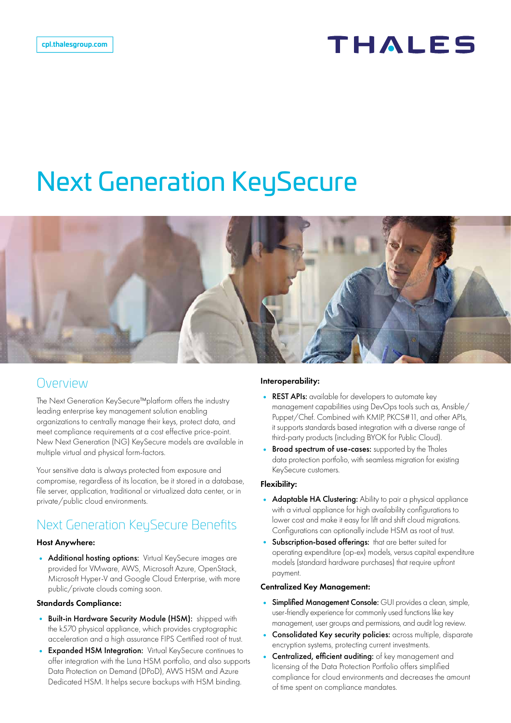## THALES

# Next Generation KeySecure



### Overview

The Next Generation KeySecure™platform offers the industry leading enterprise key management solution enabling organizations to centrally manage their keys, protect data, and meet compliance requirements at a cost effective price-point. New Next Generation (NG) KeySecure models are available in multiple virtual and physical form-factors.

Your sensitive data is always protected from exposure and compromise, regardless of its location, be it stored in a database, file server, application, traditional or virtualized data center, or in private/public cloud environments.

## Next Generation KeySecure Benefits

### Host Anywhere:

• Additional hosting options: Virtual KeySecure images are provided for VMware, AWS, Microsoft Azure, OpenStack, Microsoft Hyper-V and Google Cloud Enterprise, with more public/private clouds coming soon.

#### Standards Compliance:

- Built-in Hardware Security Module (HSM): shipped with the k570 physical appliance, which provides cryptographic acceleration and a high assurance FIPS Certified root of trust.
- Expanded HSM Integration: Virtual KeySecure continues to offer integration with the Luna HSM portfolio, and also supports Data Protection on Demand (DPoD), AWS HSM and Azure Dedicated HSM. It helps secure backups with HSM binding.

### Interoperability:

- REST APIs: available for developers to automate key management capabilities using DevOps tools such as, Ansible/ Puppet/Chef. Combined with KMIP, PKCS#11, and other APIs, it supports standards based integration with a diverse range of third-party products (including BYOK for Public Cloud).
- Broad spectrum of use-cases: supported by the Thales data protection portfolio, with seamless migration for existing KeySecure customers.

### Flexibility:

- Adaptable HA Clustering: Ability to pair a physical appliance with a virtual appliance for high availability configurations to lower cost and make it easy for lift and shift cloud migrations. Configurations can optionally include HSM as root of trust.
- Subscription-based offerings: that are better suited for operating expenditure (op-ex) models, versus capital expenditure models (standard hardware purchases) that require upfront payment.

#### Centralized Key Management:

- Simplified Management Console: GUI provides a clean, simple, user-friendly experience for commonly used functions like key management, user groups and permissions, and audit log review.
- Consolidated Key security policies: across multiple, disparate encryption systems, protecting current investments.
- Centralized, efficient auditing: of key management and licensing of the Data Protection Portfolio offers simplified compliance for cloud environments and decreases the amount of time spent on compliance mandates.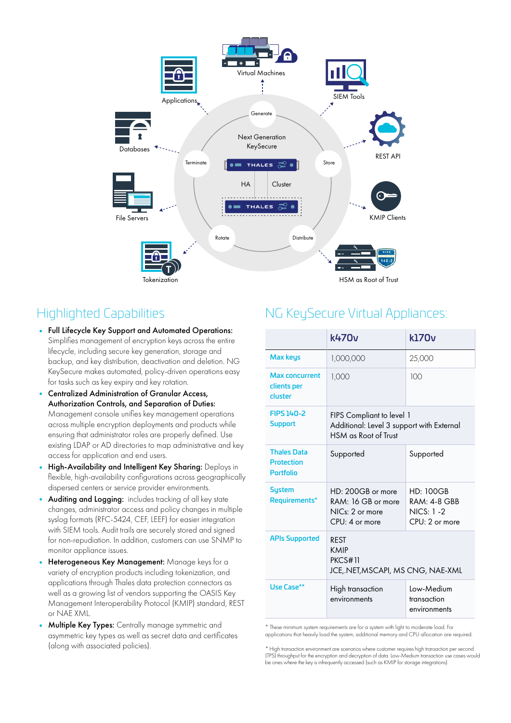

## Highlighted Capabilities

- Full Lifecycle Key Support and Automated Operations: Simplifies management of encryption keys across the entire lifecycle, including secure key generation, storage and backup, and key distribution, deactivation and deletion. NG KeySecure makes automated, policy-driven operations easy for tasks such as key expiry and key rotation.
- Centralized Administration of Granular Access, Authorization Controls, and Separation of Duties: Management console unifies key management operations across multiple encryption deployments and products while ensuring that administrator roles are properly defined. Use existing LDAP or AD directories to map administrative and key access for application and end users.
- High-Availability and Intelligent Key Sharing: Deploys in flexible, high-availability configurations across geographically dispersed centers or service provider environments.
- Auditing and Logging: includes tracking of all key state changes, administrator access and policy changes in multiple syslog formats (RFC-5424, CEF, LEEF) for easier integration with SIEM tools. Audit trails are securely stored and signed for non-repudiation. In addition, customers can use SNMP to monitor appliance issues.
- Heterogeneous Key Management: Manage keys for a variety of encryption products including tokenization, and applications through Thales data protection connectors as well as a growing list of vendors supporting the OASIS Key Management Interoperability Protocol (KMIP) standard, REST or NAE XML.
- Multiple Key Types: Centrally manage symmetric and asymmetric key types as well as secret data and certificates (along with associated policies).

## NG KeySecure Virtual Appliances:

|                                                             | k470v                                                                                          | k170 <sub>v</sub>                                                            |
|-------------------------------------------------------------|------------------------------------------------------------------------------------------------|------------------------------------------------------------------------------|
| Max keys                                                    | 1,000,000                                                                                      | 25,000                                                                       |
| <b>Max concurrent</b><br>clients per<br>cluster             | 1,000                                                                                          | 100                                                                          |
| <b>FIPS 140-2</b><br><b>Support</b>                         | FIPS Compliant to level 1<br>Additional: Level 3 support with External<br>HSM as Root of Trust |                                                                              |
| <b>Thales Data</b><br><b>Protection</b><br><b>Portfolio</b> | Supported                                                                                      | Supported                                                                    |
| <b>System</b><br>Requirements*                              | HD: 200GB or more<br>RAM: 16 GB or more<br>NICs: 2 or more<br>$CPI: 4$ or more                 | <b>HD: 100GB</b><br><b>RAM: 4-8 GBB</b><br>$NICS: 1 - 2$<br>$CPU: 2$ or more |
| <b>APIs Supported</b>                                       | <b>REST</b><br><b>KMIP</b><br><b>PKCS#11</b><br>JCE, NET, MSCAPI, MS CNG, NAE-XML              |                                                                              |
| Use Case**                                                  | High transaction<br>environments                                                               | Low-Medium<br>transaction<br>environments                                    |

\* These minimum system requirements are for a system with light to moderate load. For applications that heavily load the system, additional memory and CPU allocation are required.

\* High transaction environment are scenarios where customer requires high transaction per second (TPS) throughput for the encryption and decryption of data. Low-Medium transaction use cases would be ones where the key is infrequently accessed (such as KMIP for storage integrations)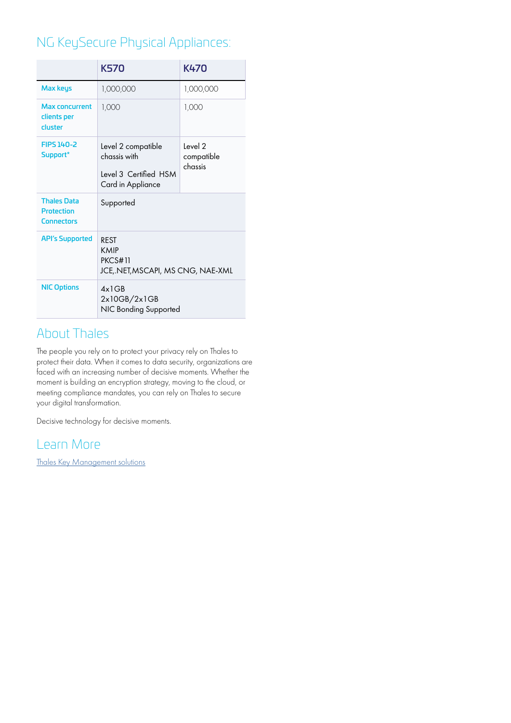## NG KeySecure Physical Appliances:

|                                                       | <b>K570</b>                                                                       | K470                             |
|-------------------------------------------------------|-----------------------------------------------------------------------------------|----------------------------------|
| <b>Max keys</b>                                       | 1,000,000                                                                         | 1,000,000                        |
| <b>Max concurrent</b><br>clients per<br>cluster       | 1,000                                                                             | 1,000                            |
| <b>FIPS 140-2</b><br>Support*                         | Level 2 compatible<br>chassis with<br>Level 3 Certified HSM<br>Card in Appliance  | level 2<br>compatible<br>chassis |
| <b>Thales Data</b><br><b>Protection</b><br>Connectors | Supported                                                                         |                                  |
| <b>API's Supported</b>                                | <b>REST</b><br><b>KMIP</b><br><b>PKCS#11</b><br>JCE, NET, MSCAPI, MS CNG, NAE-XML |                                  |
| <b>NIC Options</b>                                    | 4x1GB<br>2x10GB/2x1GB<br>NIC Bonding Supported                                    |                                  |

## About Thales

The people you rely on to protect your privacy rely on Thales to protect their data. When it comes to data security, organizations are faced with an increasing number of decisive moments. Whether the moment is building an encryption strategy, moving to the cloud, or meeting compliance mandates, you can rely on Thales to secure your digital transformation.

Decisive technology for decisive moments.

## Learn More

Thale[s Key Management solutions](https://cpl.thalesgroup.com/encryption/key-management)